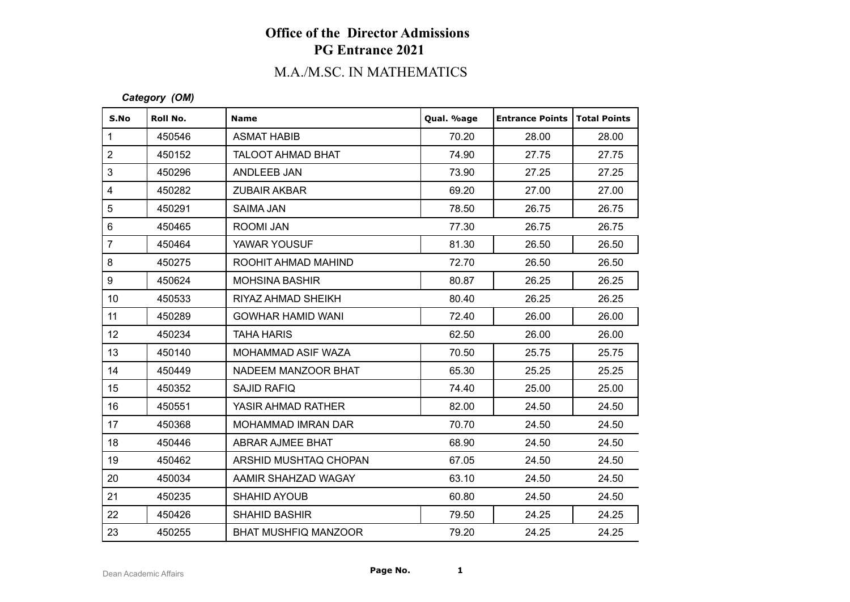# M.A./M.SC. IN MATHEMATICS

### *Category (OM)*

| S.No                    | Roll No. | <b>Name</b>                 | Qual. %age | <b>Entrance Points</b> | Total Points |
|-------------------------|----------|-----------------------------|------------|------------------------|--------------|
| $\mathbf{1}$            | 450546   | <b>ASMAT HABIB</b>          | 70.20      | 28.00                  | 28.00        |
| $\overline{2}$          | 450152   | <b>TALOOT AHMAD BHAT</b>    | 74.90      | 27.75                  | 27.75        |
| 3                       | 450296   | ANDLEEB JAN                 | 73.90      | 27.25                  | 27.25        |
| $\overline{\mathbf{4}}$ | 450282   | <b>ZUBAIR AKBAR</b>         | 69.20      | 27.00                  | 27.00        |
| 5                       | 450291   | <b>SAIMA JAN</b>            | 78.50      | 26.75                  | 26.75        |
| $\,6$                   | 450465   | ROOMI JAN                   | 77.30      | 26.75                  | 26.75        |
| $\overline{7}$          | 450464   | YAWAR YOUSUF                | 81.30      | 26.50                  | 26.50        |
| 8                       | 450275   | ROOHIT AHMAD MAHIND         | 72.70      | 26.50                  | 26.50        |
| 9                       | 450624   | <b>MOHSINA BASHIR</b>       | 80.87      | 26.25                  | 26.25        |
| 10 <sup>1</sup>         | 450533   | RIYAZ AHMAD SHEIKH          | 80.40      | 26.25                  | 26.25        |
| 11                      | 450289   | <b>GOWHAR HAMID WANI</b>    | 72.40      | 26.00                  | 26.00        |
| 12 <sup>°</sup>         | 450234   | <b>TAHA HARIS</b>           | 62.50      | 26.00                  | 26.00        |
| 13                      | 450140   | MOHAMMAD ASIF WAZA          | 70.50      | 25.75                  | 25.75        |
| 14                      | 450449   | NADEEM MANZOOR BHAT         | 65.30      | 25.25                  | 25.25        |
| 15                      | 450352   | <b>SAJID RAFIQ</b>          | 74.40      | 25.00                  | 25.00        |
| 16                      | 450551   | YASIR AHMAD RATHER          | 82.00      | 24.50                  | 24.50        |
| 17                      | 450368   | <b>MOHAMMAD IMRAN DAR</b>   | 70.70      | 24.50                  | 24.50        |
| 18                      | 450446   | ABRAR AJMEE BHAT            | 68.90      | 24.50                  | 24.50        |
| 19                      | 450462   | ARSHID MUSHTAQ CHOPAN       | 67.05      | 24.50                  | 24.50        |
| 20                      | 450034   | AAMIR SHAHZAD WAGAY         | 63.10      | 24.50                  | 24.50        |
| 21                      | 450235   | <b>SHAHID AYOUB</b>         | 60.80      | 24.50                  | 24.50        |
| 22                      | 450426   | <b>SHAHID BASHIR</b>        | 79.50      | 24.25                  | 24.25        |
| 23                      | 450255   | <b>BHAT MUSHFIQ MANZOOR</b> | 79.20      | 24.25                  | 24.25        |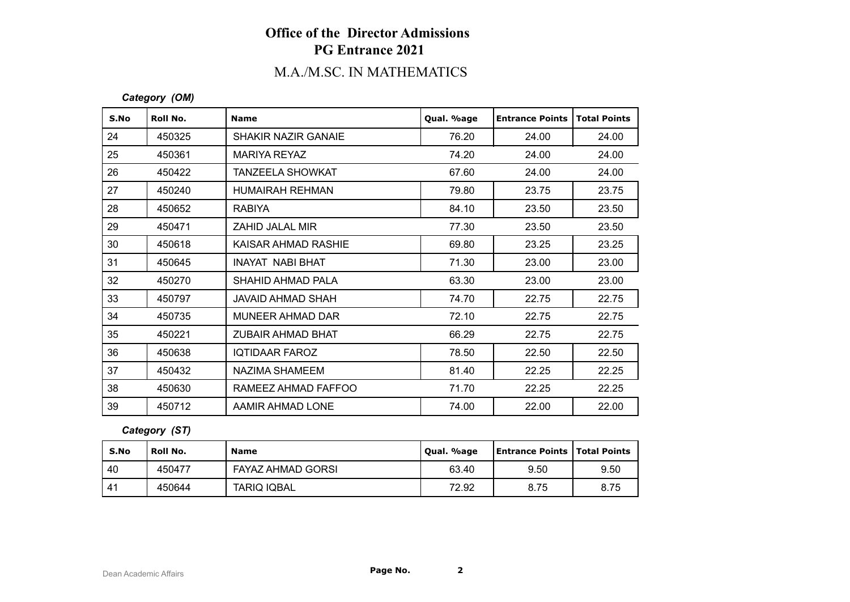# M.A./M.SC. IN MATHEMATICS

### *Category (OM)*

| S.No | Roll No. | <b>Name</b>                | Qual. %age | <b>Entrance Points</b> | <b>Total Points</b> |
|------|----------|----------------------------|------------|------------------------|---------------------|
| 24   | 450325   | <b>SHAKIR NAZIR GANAIE</b> | 76.20      | 24.00                  | 24.00               |
| 25   | 450361   | <b>MARIYA REYAZ</b>        | 74.20      | 24.00                  | 24.00               |
| 26   | 450422   | <b>TANZEELA SHOWKAT</b>    | 67.60      | 24.00                  | 24.00               |
| 27   | 450240   | HUMAIRAH REHMAN            | 79.80      | 23.75                  | 23.75               |
| 28   | 450652   | <b>RABIYA</b>              | 84.10      | 23.50                  | 23.50               |
| 29   | 450471   | ZAHID JALAL MIR            | 77.30      | 23.50                  | 23.50               |
| 30   | 450618   | KAISAR AHMAD RASHIE        | 69.80      | 23.25                  | 23.25               |
| 31   | 450645   | INAYAT NABI BHAT           | 71.30      | 23.00                  | 23.00               |
| 32   | 450270   | SHAHID AHMAD PALA          | 63.30      | 23.00                  | 23.00               |
| 33   | 450797   | JAVAID AHMAD SHAH          | 74.70      | 22.75                  | 22.75               |
| 34   | 450735   | MUNEER AHMAD DAR           | 72.10      | 22.75                  | 22.75               |
| 35   | 450221   | <b>ZUBAIR AHMAD BHAT</b>   | 66.29      | 22.75                  | 22.75               |
| 36   | 450638   | <b>IQTIDAAR FAROZ</b>      | 78.50      | 22.50                  | 22.50               |
| 37   | 450432   | NAZIMA SHAMEEM             | 81.40      | 22.25                  | 22.25               |
| 38   | 450630   | RAMEEZ AHMAD FAFFOO        | 71.70      | 22.25                  | 22.25               |
| 39   | 450712   | AAMIR AHMAD LONE           | 74.00      | 22.00                  | 22.00               |

### *Category (ST)*

| S.No | Roll No. | <b>Name</b>        | Qual. %age | <b>Entrance Points   Total Points</b> |      |
|------|----------|--------------------|------------|---------------------------------------|------|
| 40   | 450477   | FAYAZ AHMAD GORSI  | 63.40      | 9.50                                  | 9.50 |
| 41   | 450644   | <b>TARIQ IQBAL</b> | 72.92      | 8.75                                  | 8.75 |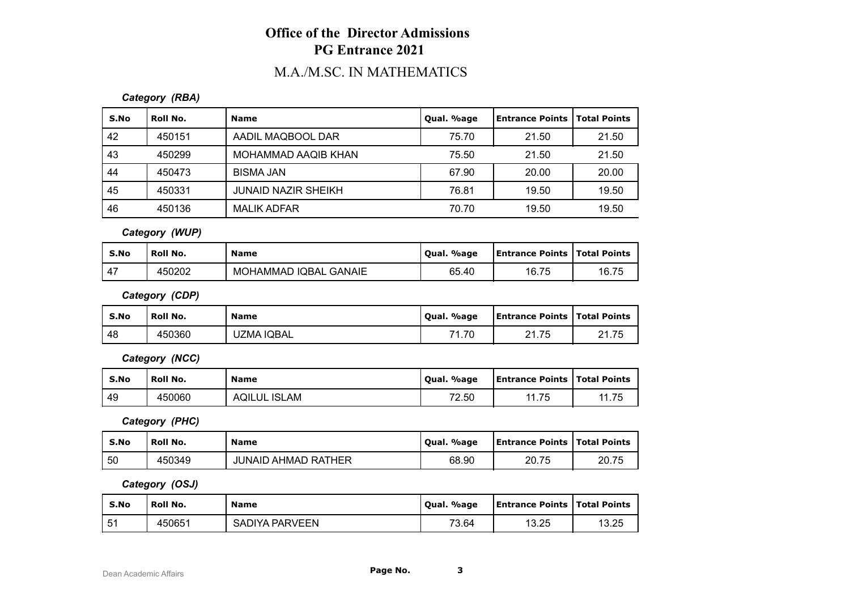# M.A./M.SC. IN MATHEMATICS

### *Category (RBA)*

| S.No | Roll No. | <b>Name</b>                | Qual. %age | Entrance Points   Total Points |       |
|------|----------|----------------------------|------------|--------------------------------|-------|
| 42   | 450151   | AADIL MAQBOOL DAR          | 75.70      | 21.50                          | 21.50 |
| 43   | 450299   | MOHAMMAD AAQIB KHAN        | 75.50      | 21.50                          | 21.50 |
| 44   | 450473   | <b>BISMA JAN</b>           | 67.90      | 20.00                          | 20.00 |
| 45   | 450331   | <b>JUNAID NAZIR SHEIKH</b> | 76.81      | 19.50                          | 19.50 |
| 46   | 450136   | MALIK ADFAR                | 70.70      | 19.50                          | 19.50 |

*Category (WUP)*

| S.No          | Roll No. | <b>Name</b>           | Oual, %age | <b>Entrance Points   Total Points</b> |       |
|---------------|----------|-----------------------|------------|---------------------------------------|-------|
| $\rightarrow$ | 450202   | MOHAMMAD IQBAL GANAIE | 65.40      | 16.75                                 | 16.75 |

*Category (CDP)*

| S.No | Roll No. | <b>Name</b> | Qual. %age | <b>Entrance Points   Total Points</b> |       |
|------|----------|-------------|------------|---------------------------------------|-------|
| 48   | 450360   | UZMA IQBAL  | 71.70      | 21.75                                 | 21.75 |

*Category (NCC)*

| S.No | <b>Roll No.</b> | <b>Name</b>         | Qual. %age | <b>Entrance Points   Total Points</b> |       |
|------|-----------------|---------------------|------------|---------------------------------------|-------|
| 49   | 450060          | <b>AQILUL ISLAM</b> | 72.50      | 11 75                                 | 11.75 |

*Category (PHC)*

| S.No | Roll No. | <b>Name</b>                | Qual. %age | <b>Entrance Points   Total Points</b> |       |
|------|----------|----------------------------|------------|---------------------------------------|-------|
| 50   | 450349   | <b>JUNAID AHMAD RATHER</b> | 68.90      | 20.75                                 | 20.75 |

*Category (OSJ)*

| S.No | <b>Roll No.</b> | <b>Name</b>    | Qual. %age | <b>Entrance Points   Total Points</b> |       |
|------|-----------------|----------------|------------|---------------------------------------|-------|
| 51   | 450651          | SADIYA PARVEEN | 73.64      | 13.25                                 | 13.25 |